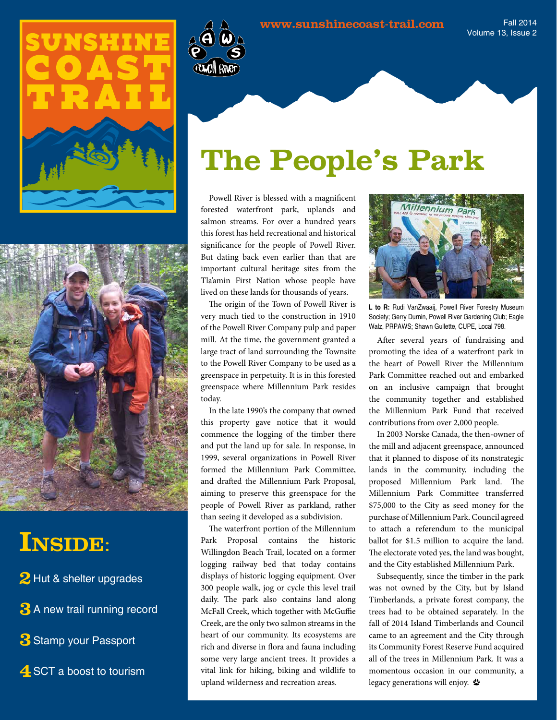

Fall 2014 Volume 13, Issue 2





## **Inside**:

2 Hut & shelter upgrades

**3** A new trail running record

**3**Stamp your Passport

**4** SCT a boost to tourism

# **The People's Park**

Powell River is blessed with a magnificent forested waterfront park, uplands and salmon streams. For over a hundred years this forest has held recreational and historical significance for the people of Powell River. But dating back even earlier than that are important cultural heritage sites from the Tla'amin First Nation whose people have lived on these lands for thousands of years.

The origin of the Town of Powell River is very much tied to the construction in 1910 of the Powell River Company pulp and paper mill. At the time, the government granted a large tract of land surrounding the Townsite to the Powell River Company to be used as a greenspace in perpetuity. It is in this forested greenspace where Millennium Park resides today.

In the late 1990's the company that owned this property gave notice that it would commence the logging of the timber there and put the land up for sale. In response, in 1999, several organizations in Powell River formed the Millennium Park Committee, and drafted the Millennium Park Proposal, aiming to preserve this greenspace for the people of Powell River as parkland, rather than seeing it developed as a subdivision.

The waterfront portion of the Millennium Park Proposal contains the historic Willingdon Beach Trail, located on a former logging railway bed that today contains displays of historic logging equipment. Over 300 people walk, jog or cycle this level trail daily. The park also contains land along McFall Creek, which together with McGuffie Creek, are the only two salmon streams in the heart of our community. Its ecosystems are rich and diverse in flora and fauna including some very large ancient trees. It provides a vital link for hiking, biking and wildlife to upland wilderness and recreation areas.



**L to R:** Rudi VanZwaaij, Powell River Forestry Museum Society; Gerry Durnin, Powell River Gardening Club; Eagle Walz, PRPAWS; Shawn Gullette, CUPE, Local 798.

After several years of fundraising and promoting the idea of a waterfront park in the heart of Powell River the Millennium Park Committee reached out and embarked on an inclusive campaign that brought the community together and established the Millennium Park Fund that received contributions from over 2,000 people.

In 2003 Norske Canada, the then-owner of the mill and adjacent greenspace, announced that it planned to dispose of its nonstrategic lands in the community, including the proposed Millennium Park land. The Millennium Park Committee transferred \$75,000 to the City as seed money for the purchase of Millennium Park. Council agreed to attach a referendum to the municipal ballot for \$1.5 million to acquire the land. The electorate voted yes, the land was bought, and the City established Millennium Park.

Subsequently, since the timber in the park was not owned by the City, but by Island Timberlands, a private forest company, the trees had to be obtained separately. In the fall of 2014 Island Timberlands and Council came to an agreement and the City through its Community Forest Reserve Fund acquired all of the trees in Millennium Park. It was a momentous occasion in our community, a legacy generations will enjoy.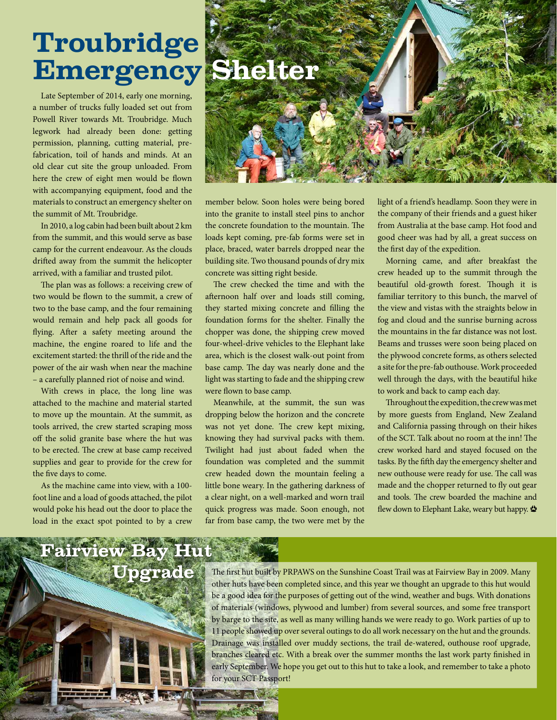# **Troubridge Emergency Shelter**

Late September of 2014, early one morning, a number of trucks fully loaded set out from Powell River towards Mt. Troubridge. Much legwork had already been done: getting permission, planning, cutting material, prefabrication, toil of hands and minds. At an old clear cut site the group unloaded. From here the crew of eight men would be flown with accompanying equipment, food and the materials to construct an emergency shelter on the summit of Mt. Troubridge.

In 2010, a log cabin had been built about 2 km from the summit, and this would serve as base camp for the current endeavour. As the clouds drifted away from the summit the helicopter arrived, with a familiar and trusted pilot.

The plan was as follows: a receiving crew of two would be flown to the summit, a crew of two to the base camp, and the four remaining would remain and help pack all goods for flying. After a safety meeting around the machine, the engine roared to life and the excitement started: the thrill of the ride and the power of the air wash when near the machine – a carefully planned riot of noise and wind.

With crews in place, the long line was attached to the machine and material started to move up the mountain. At the summit, as tools arrived, the crew started scraping moss off the solid granite base where the hut was to be erected. The crew at base camp received supplies and gear to provide for the crew for the five days to come.

As the machine came into view, with a 100 foot line and a load of goods attached, the pilot would poke his head out the door to place the load in the exact spot pointed to by a crew



member below. Soon holes were being bored into the granite to install steel pins to anchor the concrete foundation to the mountain. The loads kept coming, pre-fab forms were set in place, braced, water barrels dropped near the building site. Two thousand pounds of dry mix concrete was sitting right beside.

The crew checked the time and with the afternoon half over and loads still coming, they started mixing concrete and filling the foundation forms for the shelter. Finally the chopper was done, the shipping crew moved four-wheel-drive vehicles to the Elephant lake area, which is the closest walk-out point from base camp. The day was nearly done and the light was starting to fade and the shipping crew were flown to base camp.

Meanwhile, at the summit, the sun was dropping below the horizon and the concrete was not yet done. The crew kept mixing, knowing they had survival packs with them. Twilight had just about faded when the foundation was completed and the summit crew headed down the mountain feeling a little bone weary. In the gathering darkness of a clear night, on a well-marked and worn trail quick progress was made. Soon enough, not far from base camp, the two were met by the light of a friend's headlamp. Soon they were in the company of their friends and a guest hiker from Australia at the base camp. Hot food and good cheer was had by all, a great success on the first day of the expedition.

Morning came, and after breakfast the crew headed up to the summit through the beautiful old-growth forest. Though it is familiar territory to this bunch, the marvel of the view and vistas with the straights below in fog and cloud and the sunrise burning across the mountains in the far distance was not lost. Beams and trusses were soon being placed on the plywood concrete forms, as others selected a site for the pre-fab outhouse. Work proceeded well through the days, with the beautiful hike to work and back to camp each day.

Throughout the expedition, the crew was met by more guests from England, New Zealand and California passing through on their hikes of the SCT. Talk about no room at the inn! The crew worked hard and stayed focused on the tasks. By the fifth day the emergency shelter and new outhouse were ready for use. The call was made and the chopper returned to fly out gear and tools. The crew boarded the machine and flew down to Elephant Lake, weary but happy.



The first hut built by PRPAWS on the Sunshine Coast Trail was at Fairview Bay in 2009. Many other huts have been completed since, and this year we thought an upgrade to this hut would be a good idea for the purposes of getting out of the wind, weather and bugs. With donations of materials (windows, plywood and lumber) from several sources, and some free transport by barge to the site, as well as many willing hands we were ready to go. Work parties of up to 11 people showed up over several outings to do all work necessary on the hut and the grounds. Drainage was installed over muddy sections, the trail de-watered, outhouse roof upgrade, branches cleared etc. With a break over the summer months the last work party finished in early September. We hope you get out to this hut to take a look, and remember to take a photo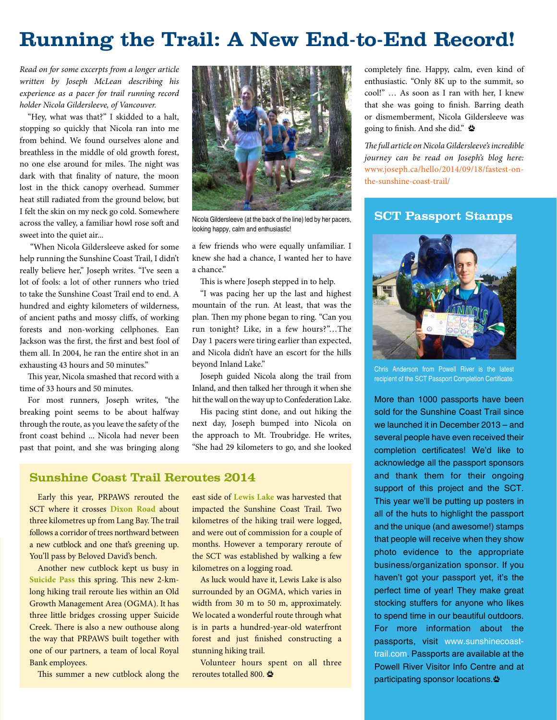## **Running the Trail: A New End-to-End Record!**

*Read on for some excerpts from a longer article written by Joseph McLean describing his experience as a pacer for trail running record holder Nicola Gildersleeve, of Vancouver.* 

"Hey, what was that?" I skidded to a halt, stopping so quickly that Nicola ran into me from behind. We found ourselves alone and breathless in the middle of old growth forest, no one else around for miles. The night was dark with that finality of nature, the moon lost in the thick canopy overhead. Summer heat still radiated from the ground below, but I felt the skin on my neck go cold. Somewhere across the valley, a familiar howl rose soft and sweet into the quiet air...

 "When Nicola Gildersleeve asked for some help running the Sunshine Coast Trail, I didn't really believe her," Joseph writes. "I've seen a lot of fools: a lot of other runners who tried to take the Sunshine Coast Trail end to end. A hundred and eighty kilometers of wilderness, of ancient paths and mossy cliffs, of working forests and non-working cellphones. Ean Jackson was the first, the first and best fool of them all. In 2004, he ran the entire shot in an exhausting 43 hours and 50 minutes."

This year, Nicola smashed that record with a time of 33 hours and 50 minutes.

For most runners, Joseph writes, "the breaking point seems to be about halfway through the route, as you leave the safety of the front coast behind ... Nicola had never been past that point, and she was bringing along



looking happy, calm and enthusiastic!

a few friends who were equally unfamiliar. I knew she had a chance, I wanted her to have a chance."

This is where Joseph stepped in to help.

"I was pacing her up the last and highest mountain of the run. At least, that was the plan. Then my phone began to ring. "Can you run tonight? Like, in a few hours?"…The Day 1 pacers were tiring earlier than expected, and Nicola didn't have an escort for the hills beyond Inland Lake."

Joseph guided Nicola along the trail from Inland, and then talked her through it when she hit the wall on the way up to Confederation Lake.

His pacing stint done, and out hiking the next day, Joseph bumped into Nicola on the approach to Mt. Troubridge. He writes, "She had 29 kilometers to go, and she looked

### **Sunshine Coast Trail Reroutes 2014**

Early this year, PRPAWS rerouted the SCT where it crosses **Dixon Road** about three kilometres up from Lang Bay. The trail follows a corridor of trees northward between a new cutblock and one that's greening up. You'll pass by Beloved David's bench.

Another new cutblock kept us busy in **Suicide Pass** this spring. This new 2-kmlong hiking trail reroute lies within an Old Growth Management Area (OGMA). It has three little bridges crossing upper Suicide Creek. There is also a new outhouse along the way that PRPAWS built together with one of our partners, a team of local Royal Bank employees.

This summer a new cutblock along the

east side of **Lewis Lake** was harvested that impacted the Sunshine Coast Trail. Two kilometres of the hiking trail were logged, and were out of commission for a couple of months. However a temporary reroute of the SCT was established by walking a few kilometres on a logging road.

As luck would have it, Lewis Lake is also surrounded by an OGMA, which varies in width from 30 m to 50 m, approximately. We located a wonderful route through what is in parts a hundred-year-old waterfront forest and just finished constructing a stunning hiking trail.

Volunteer hours spent on all three reroutes totalled 800.

completely fine. Happy, calm, even kind of enthusiastic. "Only 8K up to the summit, so cool!" … As soon as I ran with her, I knew that she was going to finish. Barring death or dismemberment, Nicola Gildersleeve was going to finish. And she did."

*The full article on Nicola Gildersleeve's incredible journey can be read on Joseph's blog here:*  www.joseph.ca/hello/2014/09/18/fastest-onthe-sunshine-coast-trail/

## Nicola Gildersleeve (at the back of the line) led by her pacers, **SCT Passport Stamps**



Chris Anderson from Powell River is the latest recipient of the SCT Passport Completion Certificate.

More than 1000 passports have been sold for the Sunshine Coast Trail since we launched it in December 2013 – and several people have even received their completion certificates! We'd like to acknowledge all the passport sponsors and thank them for their ongoing support of this project and the SCT. This year we'll be putting up posters in all of the huts to highlight the passport and the unique (and awesome!) stamps that people will receive when they show photo evidence to the appropriate business/organization sponsor. If you haven't got your passport yet, it's the perfect time of year! They make great stocking stuffers for anyone who likes to spend time in our beautiful outdoors. For more information about the passports, visit www.sunshinecoasttrail.com. Passports are available at the Powell River Visitor Info Centre and at participating sponsor locations.